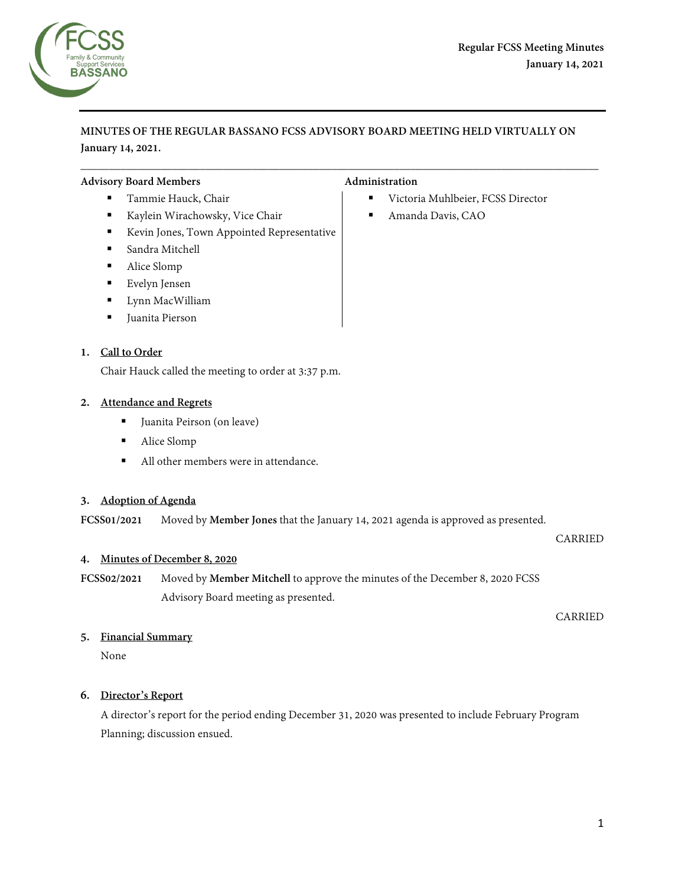

**MINUTES OF THE REGULAR BASSANO FCSS ADVISORY BOARD MEETING HELD VIRTUALLY ON January 14, 2021.**

\_\_\_\_\_\_\_\_\_\_\_\_\_\_\_\_\_\_\_\_\_\_\_\_\_\_\_\_\_\_\_\_\_\_\_\_\_\_\_\_\_\_\_\_\_\_\_\_\_\_\_\_\_\_\_\_\_\_\_\_\_\_\_\_\_\_\_\_\_\_\_\_\_\_\_\_\_\_\_\_\_\_\_\_\_\_\_\_\_\_\_

## Advisory Board Members **Administration Administration**

- 
- Kaylein Wirachowsky, Vice Chair **Amanda Davis, CAO**
- Kevin Jones, Town Appointed Representative
- Sandra Mitchell
- Alice Slomp
- Evelyn Jensen
- **Lynn MacWilliam**
- Juanita Pierson

# **1. Call to Order**

Chair Hauck called the meeting to order at 3:37 p.m.

## **2. Attendance and Regrets**

- Juanita Peirson (on leave)
- **Alice Slomp**
- All other members were in attendance.

# **3. Adoption of Agenda**

**FCSS01/2021** Moved by **Member Jones** that the January 14, 2021 agenda is approved as presented.

## CARRIED

#### **4. Minutes of December 8, 2020**

**FCSS02/2021** Moved by **Member Mitchell** to approve the minutes of the December 8, 2020 FCSS Advisory Board meeting as presented.

CARRIED

# **5. Financial Summary**

None

# **6. Director's Report**

A director's report for the period ending December 31, 2020 was presented to include February Program Planning; discussion ensued.

- Tammie Hauck, Chair 
Victoria Muhlbeier, FCSS Director
	-